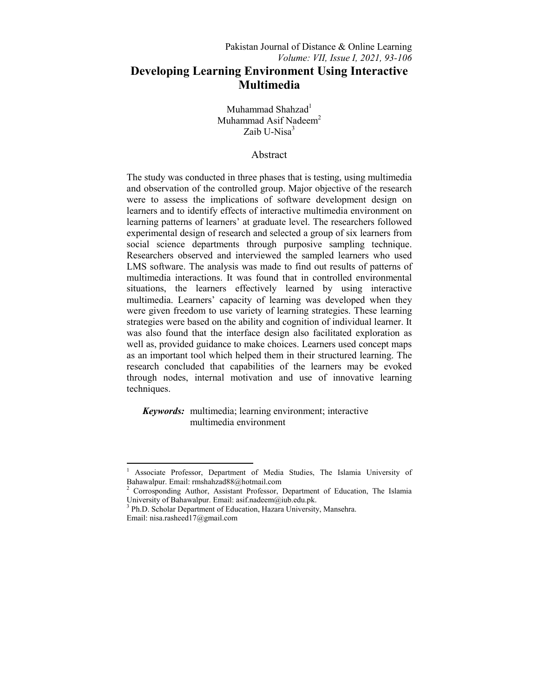Muhammad Shahzad<sup>1</sup> Muhammad Asif Nadeem<sup>2</sup> Zaib U-Nisa<sup>3</sup>

# Abstract

The study was conducted in three phases that is testing, using multimedia and observation of the controlled group. Major objective of the research were to assess the implications of software development design on learners and to identify effects of interactive multimedia environment on learning patterns of learners' at graduate level. The researchers followed experimental design of research and selected a group of six learners from social science departments through purposive sampling technique. Researchers observed and interviewed the sampled learners who used LMS software. The analysis was made to find out results of patterns of multimedia interactions. It was found that in controlled environmental situations, the learners effectively learned by using interactive multimedia. Learners' capacity of learning was developed when they were given freedom to use variety of learning strategies. These learning strategies were based on the ability and cognition of individual learner. It was also found that the interface design also facilitated exploration as well as, provided guidance to make choices. Learners used concept maps as an important tool which helped them in their structured learning. The research concluded that capabilities of the learners may be evoked through nodes, internal motivation and use of innovative learning techniques.

 *Keywords:* multimedia; learning environment; interactive multimedia environment

**.** 

<sup>1</sup> Associate Professor, Department of Media Studies, The Islamia University of Bahawalpur. Email: rmshahzad88@hotmail.com

<sup>2</sup> Corrosponding Author, Assistant Professor, Department of Education, The Islamia University of Bahawalpur. Email: asif.nadeem@iub.edu.pk.

<sup>&</sup>lt;sup>3</sup> Ph.D. Scholar Department of Education, Hazara University, Mansehra. Email: nisa.rasheed17@gmail.com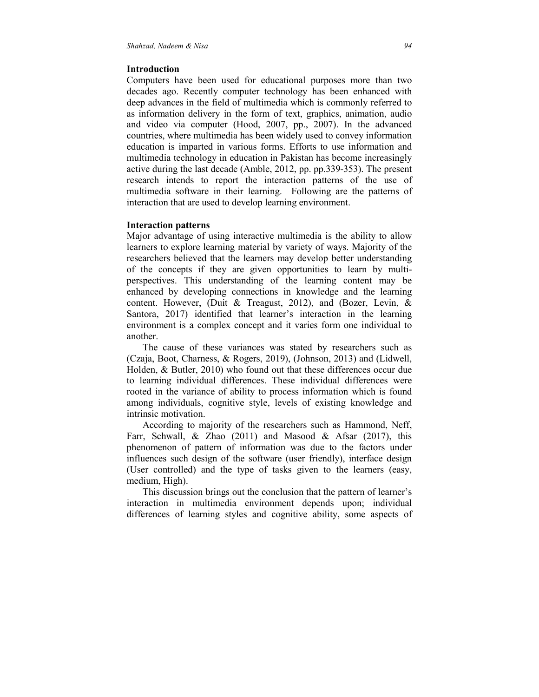### **Introduction**

Computers have been used for educational purposes more than two decades ago. Recently computer technology has been enhanced with deep advances in the field of multimedia which is commonly referred to as information delivery in the form of text, graphics, animation, audio and video via computer (Hood, 2007, pp., 2007). In the advanced countries, where multimedia has been widely used to convey information education is imparted in various forms. Efforts to use information and multimedia technology in education in Pakistan has become increasingly active during the last decade (Amble, 2012, pp. pp.339-353). The present research intends to report the interaction patterns of the use of multimedia software in their learning. Following are the patterns of interaction that are used to develop learning environment.

#### **Interaction patterns**

Major advantage of using interactive multimedia is the ability to allow learners to explore learning material by variety of ways. Majority of the researchers believed that the learners may develop better understanding of the concepts if they are given opportunities to learn by multiperspectives. This understanding of the learning content may be enhanced by developing connections in knowledge and the learning content. However, (Duit & Treagust, 2012), and (Bozer, Levin, & Santora, 2017) identified that learner's interaction in the learning environment is a complex concept and it varies form one individual to another.

 The cause of these variances was stated by researchers such as (Czaja, Boot, Charness, & Rogers, 2019), (Johnson, 2013) and (Lidwell, Holden, & Butler, 2010) who found out that these differences occur due to learning individual differences. These individual differences were rooted in the variance of ability to process information which is found among individuals, cognitive style, levels of existing knowledge and intrinsic motivation.

 According to majority of the researchers such as Hammond, Neff, Farr, Schwall, & Zhao (2011) and Masood & Afsar (2017), this phenomenon of pattern of information was due to the factors under influences such design of the software (user friendly), interface design (User controlled) and the type of tasks given to the learners (easy, medium, High).

 This discussion brings out the conclusion that the pattern of learner's interaction in multimedia environment depends upon; individual differences of learning styles and cognitive ability, some aspects of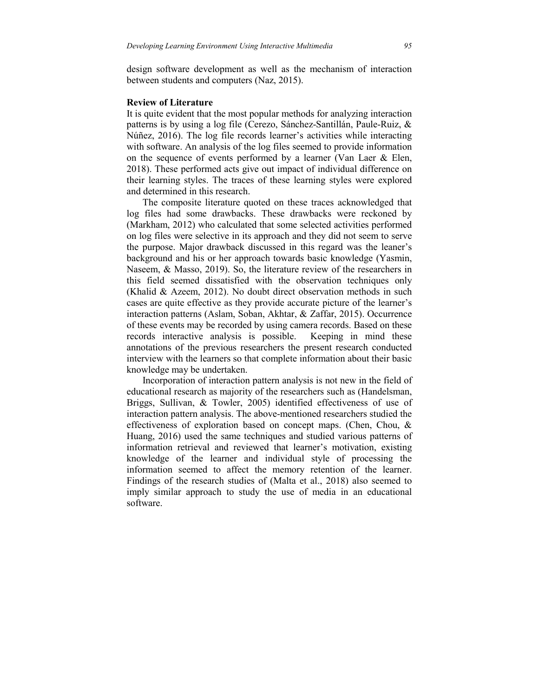design software development as well as the mechanism of interaction between students and computers (Naz, 2015).

#### **Review of Literature**

It is quite evident that the most popular methods for analyzing interaction patterns is by using a log file (Cerezo, Sánchez-Santillán, Paule-Ruiz, & Núñez, 2016). The log file records learner's activities while interacting with software. An analysis of the log files seemed to provide information on the sequence of events performed by a learner (Van Laer  $\&$  Elen, 2018). These performed acts give out impact of individual difference on their learning styles. The traces of these learning styles were explored and determined in this research.

 The composite literature quoted on these traces acknowledged that log files had some drawbacks. These drawbacks were reckoned by (Markham, 2012) who calculated that some selected activities performed on log files were selective in its approach and they did not seem to serve the purpose. Major drawback discussed in this regard was the leaner's background and his or her approach towards basic knowledge (Yasmin, Naseem, & Masso, 2019). So, the literature review of the researchers in this field seemed dissatisfied with the observation techniques only (Khalid & Azeem, 2012). No doubt direct observation methods in such cases are quite effective as they provide accurate picture of the learner's interaction patterns (Aslam, Soban, Akhtar, & Zaffar, 2015). Occurrence of these events may be recorded by using camera records. Based on these records interactive analysis is possible. Keeping in mind these annotations of the previous researchers the present research conducted interview with the learners so that complete information about their basic knowledge may be undertaken.

 Incorporation of interaction pattern analysis is not new in the field of educational research as majority of the researchers such as (Handelsman, Briggs, Sullivan, & Towler, 2005) identified effectiveness of use of interaction pattern analysis. The above-mentioned researchers studied the effectiveness of exploration based on concept maps. (Chen, Chou, & Huang, 2016) used the same techniques and studied various patterns of information retrieval and reviewed that learner's motivation, existing knowledge of the learner and individual style of processing the information seemed to affect the memory retention of the learner. Findings of the research studies of (Malta et al., 2018) also seemed to imply similar approach to study the use of media in an educational software.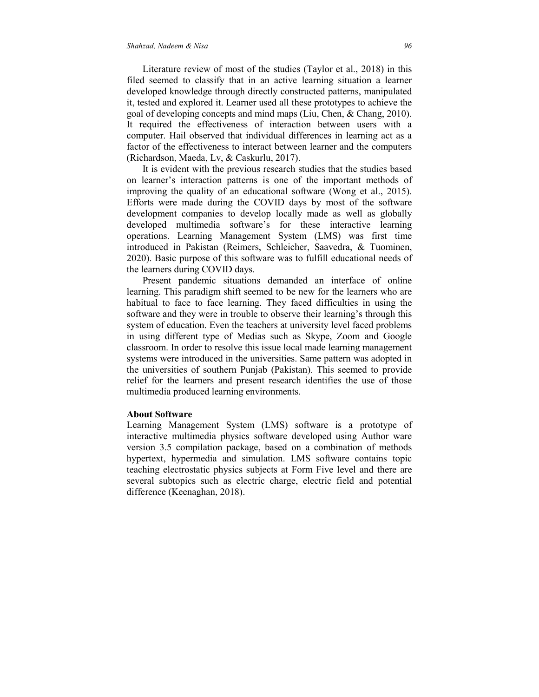Literature review of most of the studies (Taylor et al., 2018) in this filed seemed to classify that in an active learning situation a learner developed knowledge through directly constructed patterns, manipulated it, tested and explored it. Learner used all these prototypes to achieve the goal of developing concepts and mind maps (Liu, Chen, & Chang, 2010). It required the effectiveness of interaction between users with a computer. Hail observed that individual differences in learning act as a factor of the effectiveness to interact between learner and the computers (Richardson, Maeda, Lv, & Caskurlu, 2017).

 It is evident with the previous research studies that the studies based on learner's interaction patterns is one of the important methods of improving the quality of an educational software (Wong et al., 2015). Efforts were made during the COVID days by most of the software development companies to develop locally made as well as globally developed multimedia software's for these interactive learning operations. Learning Management System (LMS) was first time introduced in Pakistan (Reimers, Schleicher, Saavedra, & Tuominen, 2020). Basic purpose of this software was to fulfill educational needs of the learners during COVID days.

 Present pandemic situations demanded an interface of online learning. This paradigm shift seemed to be new for the learners who are habitual to face to face learning. They faced difficulties in using the software and they were in trouble to observe their learning's through this system of education. Even the teachers at university level faced problems in using different type of Medias such as Skype, Zoom and Google classroom. In order to resolve this issue local made learning management systems were introduced in the universities. Same pattern was adopted in the universities of southern Punjab (Pakistan). This seemed to provide relief for the learners and present research identifies the use of those multimedia produced learning environments.

### **About Software**

Learning Management System (LMS) software is a prototype of interactive multimedia physics software developed using Author ware version 3.5 compilation package, based on a combination of methods hypertext, hypermedia and simulation. LMS software contains topic teaching electrostatic physics subjects at Form Five level and there are several subtopics such as electric charge, electric field and potential difference (Keenaghan, 2018).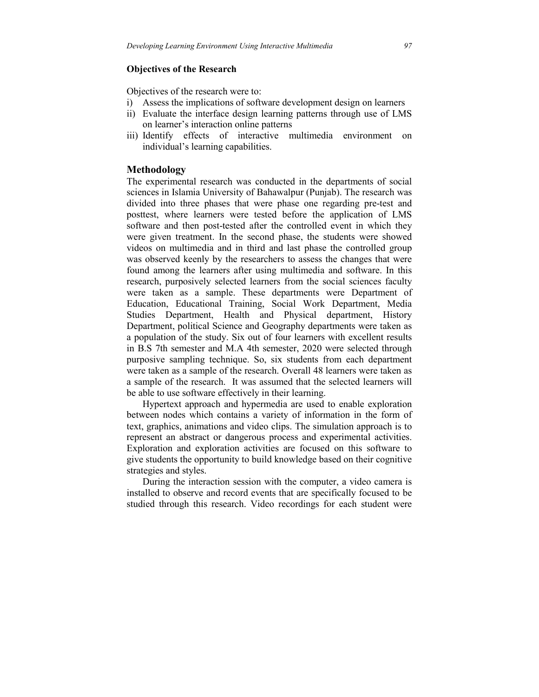## **Objectives of the Research**

Objectives of the research were to:

- i) Assess the implications of software development design on learners
- ii) Evaluate the interface design learning patterns through use of LMS on learner's interaction online patterns
- iii) Identify effects of interactive multimedia environment on individual's learning capabilities.

## **Methodology**

The experimental research was conducted in the departments of social sciences in Islamia University of Bahawalpur (Punjab). The research was divided into three phases that were phase one regarding pre-test and posttest, where learners were tested before the application of LMS software and then post-tested after the controlled event in which they were given treatment. In the second phase, the students were showed videos on multimedia and in third and last phase the controlled group was observed keenly by the researchers to assess the changes that were found among the learners after using multimedia and software. In this research, purposively selected learners from the social sciences faculty were taken as a sample. These departments were Department of Education, Educational Training, Social Work Department, Media Studies Department, Health and Physical department, History Department, political Science and Geography departments were taken as a population of the study. Six out of four learners with excellent results in B.S 7th semester and M.A 4th semester, 2020 were selected through purposive sampling technique. So, six students from each department were taken as a sample of the research. Overall 48 learners were taken as a sample of the research. It was assumed that the selected learners will be able to use software effectively in their learning.

 Hypertext approach and hypermedia are used to enable exploration between nodes which contains a variety of information in the form of text, graphics, animations and video clips. The simulation approach is to represent an abstract or dangerous process and experimental activities. Exploration and exploration activities are focused on this software to give students the opportunity to build knowledge based on their cognitive strategies and styles.

 During the interaction session with the computer, a video camera is installed to observe and record events that are specifically focused to be studied through this research. Video recordings for each student were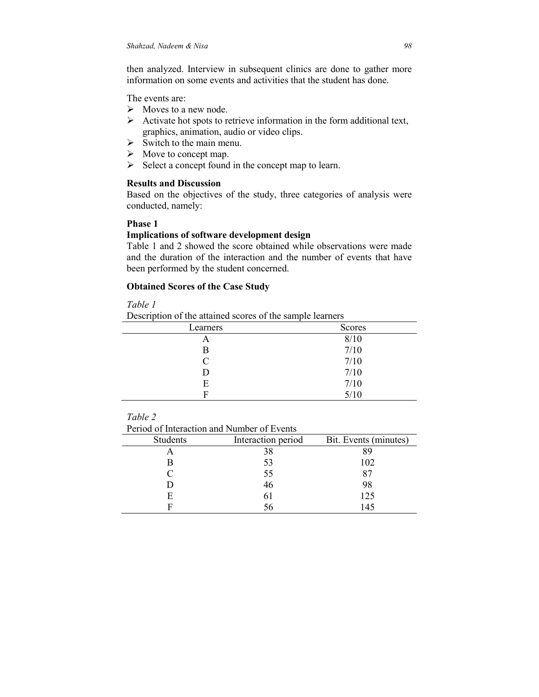then analyzed. Interview in subsequent clinics are done to gather more information on some events and activities that the student has done.

The events are:

- $\triangleright$  Moves to a new node.
- $\triangleright$  Activate hot spots to retrieve information in the form additional text, graphics, animation, audio or video clips.
- $\triangleright$  Switch to the main menu.
- $\triangleright$  Move to concept map.
- $\triangleright$  Select a concept found in the concept map to learn.

# **Results and Discussion**

Based on the objectives of the study, three categories of analysis were conducted, namely:

# **Phase 1**

## **Implications of software development design**

Table 1 and 2 showed the score obtained while observations were made and the duration of the interaction and the number of events that have been performed by the student concerned.

# **Obtained Scores of the Case Study**

## *Table 1*

Description of the attained scores of the sample learners

| Learners | <b>Scores</b> |
|----------|---------------|
| А        | 8/10          |
| в        | 7/10          |
| C        | 7/10          |
| D        | 7/10          |
| E        | 7/10          |
| Е        | 5/10          |

# *Table 2*

Period of Interaction and Number of Events

| <b>Students</b> | Interaction period | Bit. Events (minutes) |
|-----------------|--------------------|-----------------------|
|                 |                    | 89                    |
|                 | 53                 | 102                   |
|                 | 55                 | 87                    |
|                 | 46                 | 98                    |
| H               |                    | 125                   |
|                 |                    | 145                   |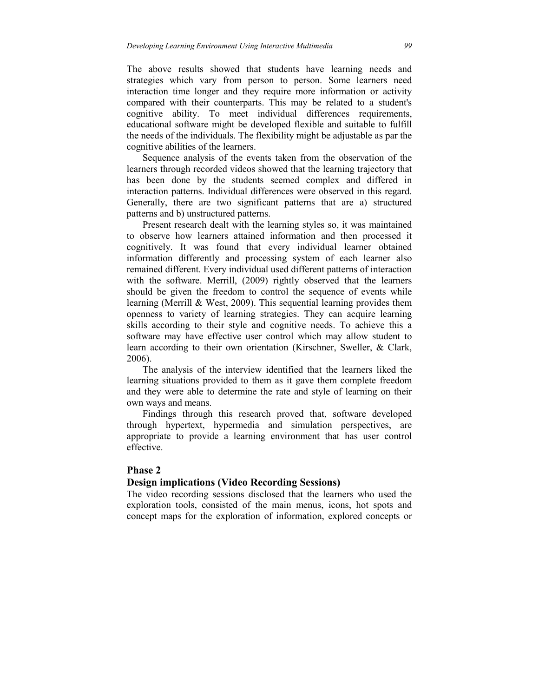The above results showed that students have learning needs and strategies which vary from person to person. Some learners need interaction time longer and they require more information or activity compared with their counterparts. This may be related to a student's cognitive ability. To meet individual differences requirements, educational software might be developed flexible and suitable to fulfill the needs of the individuals. The flexibility might be adjustable as par the cognitive abilities of the learners.

 Sequence analysis of the events taken from the observation of the learners through recorded videos showed that the learning trajectory that has been done by the students seemed complex and differed in interaction patterns. Individual differences were observed in this regard. Generally, there are two significant patterns that are a) structured patterns and b) unstructured patterns.

 Present research dealt with the learning styles so, it was maintained to observe how learners attained information and then processed it cognitively. It was found that every individual learner obtained information differently and processing system of each learner also remained different. Every individual used different patterns of interaction with the software. Merrill, (2009) rightly observed that the learners should be given the freedom to control the sequence of events while learning (Merrill & West, 2009). This sequential learning provides them openness to variety of learning strategies. They can acquire learning skills according to their style and cognitive needs. To achieve this a software may have effective user control which may allow student to learn according to their own orientation (Kirschner, Sweller, & Clark, 2006).

 The analysis of the interview identified that the learners liked the learning situations provided to them as it gave them complete freedom and they were able to determine the rate and style of learning on their own ways and means.

 Findings through this research proved that, software developed through hypertext, hypermedia and simulation perspectives, are appropriate to provide a learning environment that has user control effective.

# **Phase 2**

#### **Design implications (Video Recording Sessions)**

The video recording sessions disclosed that the learners who used the exploration tools, consisted of the main menus, icons, hot spots and concept maps for the exploration of information, explored concepts or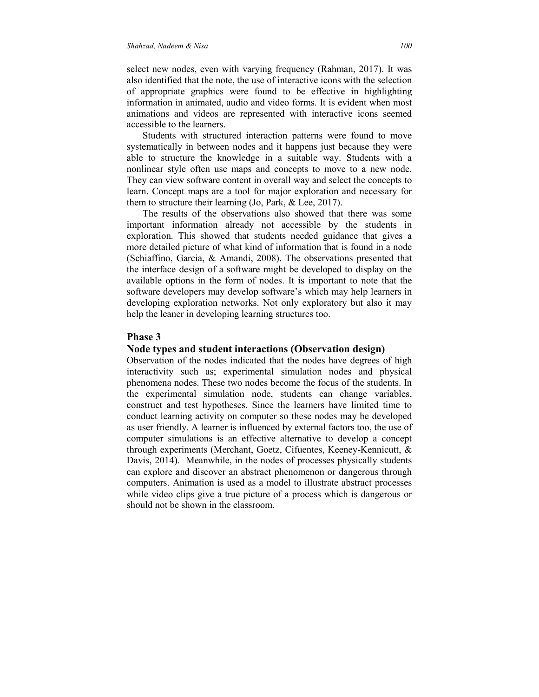select new nodes, even with varying frequency (Rahman, 2017). It was also identified that the note, the use of interactive icons with the selection of appropriate graphics were found to be effective in highlighting information in animated, audio and video forms. It is evident when most animations and videos are represented with interactive icons seemed accessible to the learners.

 Students with structured interaction patterns were found to move systematically in between nodes and it happens just because they were able to structure the knowledge in a suitable way. Students with a nonlinear style often use maps and concepts to move to a new node. They can view software content in overall way and select the concepts to learn. Concept maps are a tool for major exploration and necessary for them to structure their learning (Jo, Park, & Lee, 2017).

 The results of the observations also showed that there was some important information already not accessible by the students in exploration. This showed that students needed guidance that gives a more detailed picture of what kind of information that is found in a node (Schiaffino, Garcia, & Amandi, 2008). The observations presented that the interface design of a software might be developed to display on the available options in the form of nodes. It is important to note that the software developers may develop software's which may help learners in developing exploration networks. Not only exploratory but also it may help the leaner in developing learning structures too.

#### **Phase 3**

#### **Node types and student interactions (Observation design)**

Observation of the nodes indicated that the nodes have degrees of high interactivity such as; experimental simulation nodes and physical phenomena nodes. These two nodes become the focus of the students. In the experimental simulation node, students can change variables, construct and test hypotheses. Since the learners have limited time to conduct learning activity on computer so these nodes may be developed as user friendly. A learner is influenced by external factors too, the use of computer simulations is an effective alternative to develop a concept through experiments (Merchant, Goetz, Cifuentes, Keeney-Kennicutt, & Davis, 2014). Meanwhile, in the nodes of processes physically students can explore and discover an abstract phenomenon or dangerous through computers. Animation is used as a model to illustrate abstract processes while video clips give a true picture of a process which is dangerous or should not be shown in the classroom.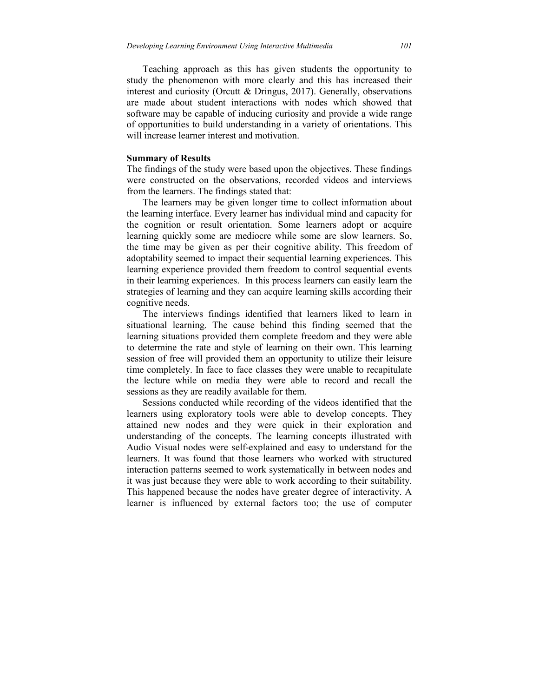Teaching approach as this has given students the opportunity to study the phenomenon with more clearly and this has increased their interest and curiosity (Orcutt & Dringus, 2017). Generally, observations are made about student interactions with nodes which showed that software may be capable of inducing curiosity and provide a wide range of opportunities to build understanding in a variety of orientations. This will increase learner interest and motivation.

#### **Summary of Results**

The findings of the study were based upon the objectives. These findings were constructed on the observations, recorded videos and interviews from the learners. The findings stated that:

 The learners may be given longer time to collect information about the learning interface. Every learner has individual mind and capacity for the cognition or result orientation. Some learners adopt or acquire learning quickly some are mediocre while some are slow learners. So, the time may be given as per their cognitive ability. This freedom of adoptability seemed to impact their sequential learning experiences. This learning experience provided them freedom to control sequential events in their learning experiences. In this process learners can easily learn the strategies of learning and they can acquire learning skills according their cognitive needs.

 The interviews findings identified that learners liked to learn in situational learning. The cause behind this finding seemed that the learning situations provided them complete freedom and they were able to determine the rate and style of learning on their own. This learning session of free will provided them an opportunity to utilize their leisure time completely. In face to face classes they were unable to recapitulate the lecture while on media they were able to record and recall the sessions as they are readily available for them.

 Sessions conducted while recording of the videos identified that the learners using exploratory tools were able to develop concepts. They attained new nodes and they were quick in their exploration and understanding of the concepts. The learning concepts illustrated with Audio Visual nodes were self-explained and easy to understand for the learners. It was found that those learners who worked with structured interaction patterns seemed to work systematically in between nodes and it was just because they were able to work according to their suitability. This happened because the nodes have greater degree of interactivity. A learner is influenced by external factors too; the use of computer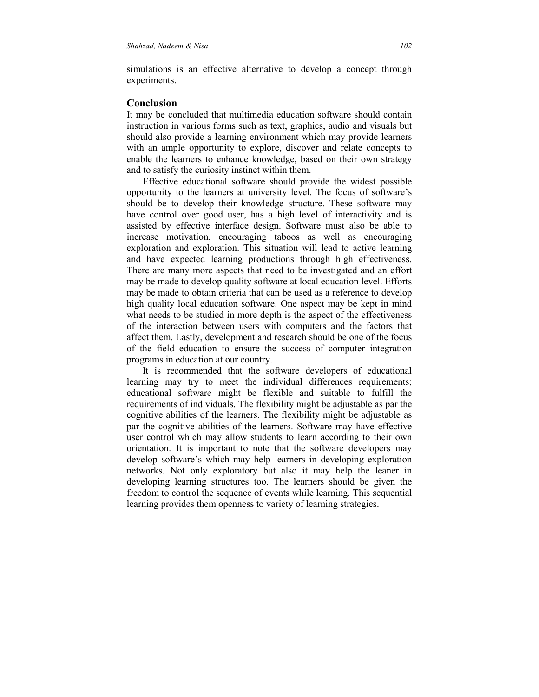simulations is an effective alternative to develop a concept through experiments.

### **Conclusion**

It may be concluded that multimedia education software should contain instruction in various forms such as text, graphics, audio and visuals but should also provide a learning environment which may provide learners with an ample opportunity to explore, discover and relate concepts to enable the learners to enhance knowledge, based on their own strategy and to satisfy the curiosity instinct within them.

 Effective educational software should provide the widest possible opportunity to the learners at university level. The focus of software's should be to develop their knowledge structure. These software may have control over good user, has a high level of interactivity and is assisted by effective interface design. Software must also be able to increase motivation, encouraging taboos as well as encouraging exploration and exploration. This situation will lead to active learning and have expected learning productions through high effectiveness. There are many more aspects that need to be investigated and an effort may be made to develop quality software at local education level. Efforts may be made to obtain criteria that can be used as a reference to develop high quality local education software. One aspect may be kept in mind what needs to be studied in more depth is the aspect of the effectiveness of the interaction between users with computers and the factors that affect them. Lastly, development and research should be one of the focus of the field education to ensure the success of computer integration programs in education at our country.

 It is recommended that the software developers of educational learning may try to meet the individual differences requirements; educational software might be flexible and suitable to fulfill the requirements of individuals. The flexibility might be adjustable as par the cognitive abilities of the learners. The flexibility might be adjustable as par the cognitive abilities of the learners. Software may have effective user control which may allow students to learn according to their own orientation. It is important to note that the software developers may develop software's which may help learners in developing exploration networks. Not only exploratory but also it may help the leaner in developing learning structures too. The learners should be given the freedom to control the sequence of events while learning. This sequential learning provides them openness to variety of learning strategies.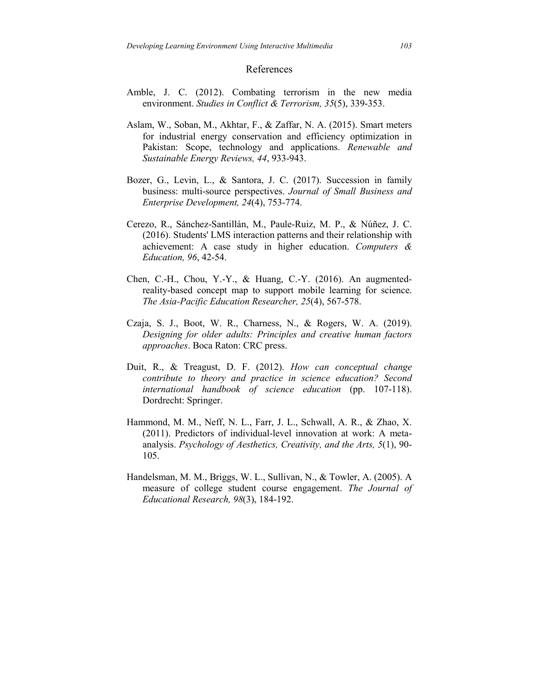#### References

- Amble, J. C. (2012). Combating terrorism in the new media environment. *Studies in Conflict & Terrorism, 35*(5), 339-353.
- Aslam, W., Soban, M., Akhtar, F., & Zaffar, N. A. (2015). Smart meters for industrial energy conservation and efficiency optimization in Pakistan: Scope, technology and applications. *Renewable and Sustainable Energy Reviews, 44*, 933-943.
- Bozer, G., Levin, L., & Santora, J. C. (2017). Succession in family business: multi-source perspectives. *Journal of Small Business and Enterprise Development, 24*(4), 753-774.
- Cerezo, R., Sánchez-Santillán, M., Paule-Ruiz, M. P., & Núñez, J. C. (2016). Students' LMS interaction patterns and their relationship with achievement: A case study in higher education. *Computers & Education, 96*, 42-54.
- Chen, C.-H., Chou, Y.-Y., & Huang, C.-Y. (2016). An augmentedreality-based concept map to support mobile learning for science. *The Asia-Pacific Education Researcher, 25*(4), 567-578.
- Czaja, S. J., Boot, W. R., Charness, N., & Rogers, W. A. (2019). *Designing for older adults: Principles and creative human factors approaches*. Boca Raton: CRC press.
- Duit, R., & Treagust, D. F. (2012). *How can conceptual change contribute to theory and practice in science education? Second international handbook of science education* (pp. 107-118). Dordrecht: Springer.
- Hammond, M. M., Neff, N. L., Farr, J. L., Schwall, A. R., & Zhao, X. (2011). Predictors of individual-level innovation at work: A metaanalysis. *Psychology of Aesthetics, Creativity, and the Arts, 5*(1), 90- 105.
- Handelsman, M. M., Briggs, W. L., Sullivan, N., & Towler, A. (2005). A measure of college student course engagement. *The Journal of Educational Research, 98*(3), 184-192.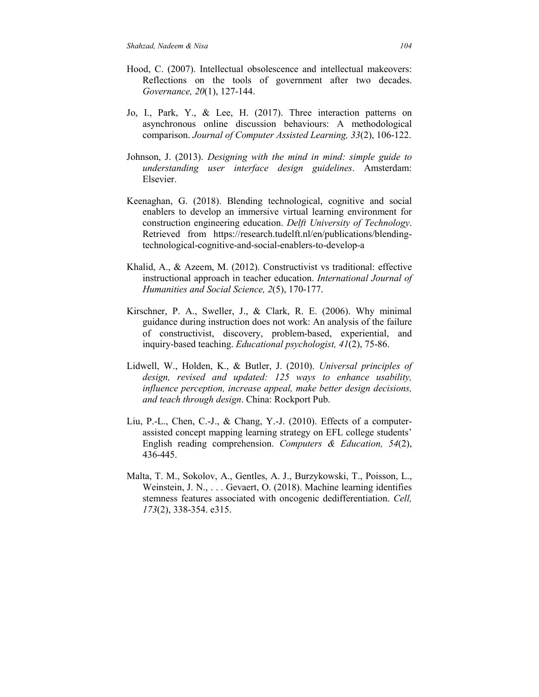- Hood, C. (2007). Intellectual obsolescence and intellectual makeovers: Reflections on the tools of government after two decades. *Governance, 20*(1), 127-144.
- Jo, I., Park, Y., & Lee, H. (2017). Three interaction patterns on asynchronous online discussion behaviours: A methodological comparison. *Journal of Computer Assisted Learning, 33*(2), 106-122.
- Johnson, J. (2013). *Designing with the mind in mind: simple guide to understanding user interface design guidelines*. Amsterdam: Elsevier.
- Keenaghan, G. (2018). Blending technological, cognitive and social enablers to develop an immersive virtual learning environment for construction engineering education. *Delft University of Technology*. Retrieved from https://research.tudelft.nl/en/publications/blendingtechnological-cognitive-and-social-enablers-to-develop-a
- Khalid, A., & Azeem, M. (2012). Constructivist vs traditional: effective instructional approach in teacher education. *International Journal of Humanities and Social Science, 2*(5), 170-177.
- Kirschner, P. A., Sweller, J., & Clark, R. E. (2006). Why minimal guidance during instruction does not work: An analysis of the failure of constructivist, discovery, problem-based, experiential, and inquiry-based teaching. *Educational psychologist, 41*(2), 75-86.
- Lidwell, W., Holden, K., & Butler, J. (2010). *Universal principles of design, revised and updated: 125 ways to enhance usability, influence perception, increase appeal, make better design decisions, and teach through design*. China: Rockport Pub.
- Liu, P.-L., Chen, C.-J., & Chang, Y.-J. (2010). Effects of a computerassisted concept mapping learning strategy on EFL college students' English reading comprehension. *Computers & Education, 54*(2), 436-445.
- Malta, T. M., Sokolov, A., Gentles, A. J., Burzykowski, T., Poisson, L., Weinstein, J. N., . . . Gevaert, O. (2018). Machine learning identifies stemness features associated with oncogenic dedifferentiation. *Cell, 173*(2), 338-354. e315.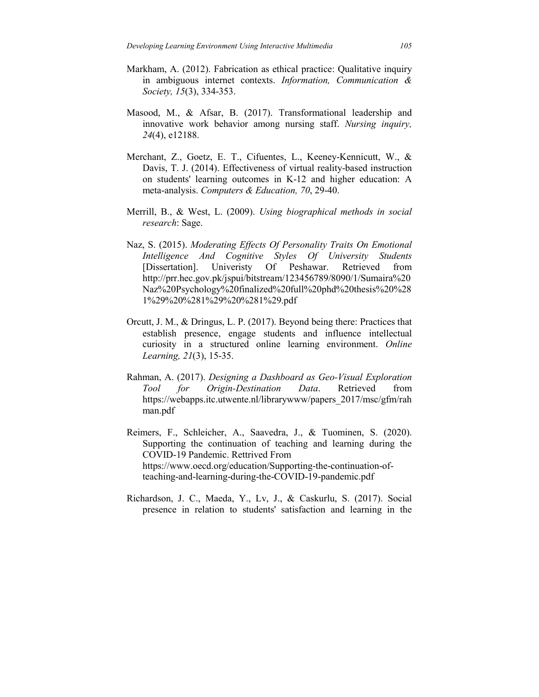- Markham, A. (2012). Fabrication as ethical practice: Qualitative inquiry in ambiguous internet contexts. *Information, Communication & Society, 15*(3), 334-353.
- Masood, M., & Afsar, B. (2017). Transformational leadership and innovative work behavior among nursing staff. *Nursing inquiry, 24*(4), e12188.
- Merchant, Z., Goetz, E. T., Cifuentes, L., Keeney-Kennicutt, W., & Davis, T. J. (2014). Effectiveness of virtual reality-based instruction on students' learning outcomes in K-12 and higher education: A meta-analysis. *Computers & Education, 70*, 29-40.
- Merrill, B., & West, L. (2009). *Using biographical methods in social research*: Sage.
- Naz, S. (2015). *Moderating Effects Of Personality Traits On Emotional Intelligence And Cognitive Styles Of University Students* [Dissertation]. Univeristy Of Peshawar. Retrieved from http://prr.hec.gov.pk/jspui/bitstream/123456789/8090/1/Sumaira%20 Naz%20Psychology%20finalized%20full%20phd%20thesis%20%28 1%29%20%281%29%20%281%29.pdf
- Orcutt, J. M., & Dringus, L. P. (2017). Beyond being there: Practices that establish presence, engage students and influence intellectual curiosity in a structured online learning environment. *Online Learning, 21*(3), 15-35.
- Rahman, A. (2017). *Designing a Dashboard as Geo-Visual Exploration Tool for Origin-Destination Data*. Retrieved from https://webapps.itc.utwente.nl/librarywww/papers\_2017/msc/gfm/rah man.pdf
- Reimers, F., Schleicher, A., Saavedra, J., & Tuominen, S. (2020). Supporting the continuation of teaching and learning during the COVID-19 Pandemic. Rettrived From https://www.oecd.org/education/Supporting-the-continuation-ofteaching-and-learning-during-the-COVID-19-pandemic.pdf
- Richardson, J. C., Maeda, Y., Lv, J., & Caskurlu, S. (2017). Social presence in relation to students' satisfaction and learning in the